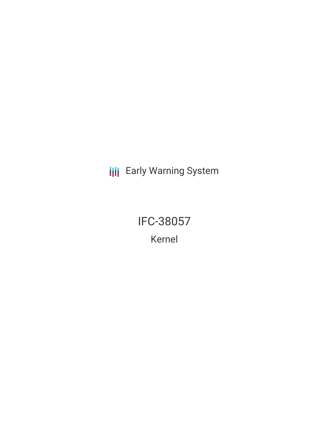**III** Early Warning System

IFC-38057 Kernel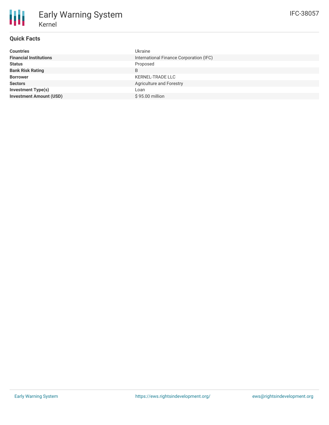# **Quick Facts**

| <b>Countries</b>               | <b>Ukraine</b>                          |
|--------------------------------|-----------------------------------------|
| <b>Financial Institutions</b>  | International Finance Corporation (IFC) |
| <b>Status</b>                  | Proposed                                |
| <b>Bank Risk Rating</b>        | B                                       |
| <b>Borrower</b>                | <b>KERNEL-TRADE LLC</b>                 |
| <b>Sectors</b>                 | Agriculture and Forestry                |
| Investment Type(s)             | Loan                                    |
| <b>Investment Amount (USD)</b> | \$95.00 million                         |
|                                |                                         |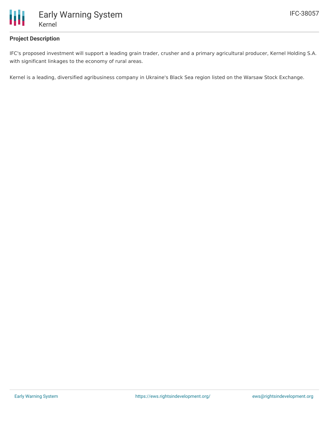

## **Project Description**

IFC's proposed investment will support a leading grain trader, crusher and a primary agricultural producer, Kernel Holding S.A. with significant linkages to the economy of rural areas.

Kernel is a leading, diversified agribusiness company in Ukraine's Black Sea region listed on the Warsaw Stock Exchange.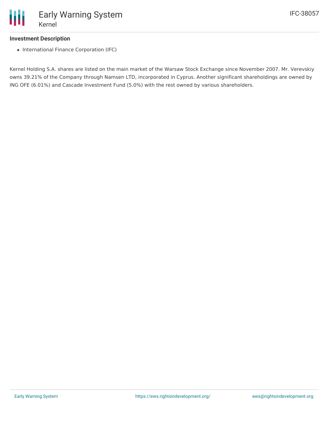

#### **Investment Description**

• International Finance Corporation (IFC)

Kernel Holding S.A. shares are listed on the main market of the Warsaw Stock Exchange since November 2007. Mr. Verevskiy owns 39.21% of the Company through Namsen LTD, incorporated in Cyprus. Another significant shareholdings are owned by ING OFE (6.01%) and Cascade Investment Fund (5.0%) with the rest owned by various shareholders.